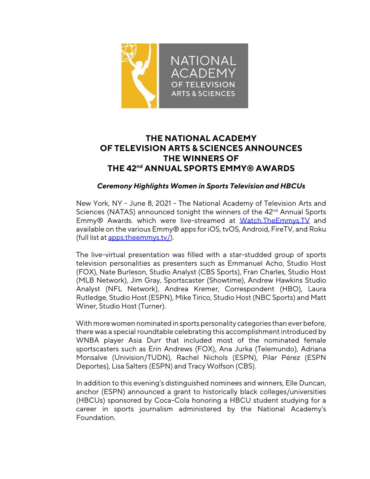

### **THE NATIONAL ACADEMY OF TELEVISION ARTS & SCIENCES ANNOUNCES THE WINNERS OF THE 42nd ANNUAL SPORTS EMMY® AWARDS**

### *Ceremony Highlights Women in Sports Television and HBCUs*

New York, NY - June 8, 2021 - The National Academy of Television Arts and Sciences (NATAS) announced tonight the winners of the 42<sup>nd</sup> Annual Sports Emmy® Awards. which were live-streamed at Watch.TheEmmys.TV and available on the various Emmy® apps for iOS, tvOS, Android, FireTV, and Roku (full list at apps.theemmys.tv/).

The live-virtual presentation was filled with a star-studded group of sports television personalities as presenters such as Emmanuel Acho, Studio Host (FOX), Nate Burleson, Studio Analyst (CBS Sports), Fran Charles, Studio Host (MLB Network), Jim Gray, Sportscaster (Showtime), Andrew Hawkins Studio Analyst (NFL Network), Andrea Kremer, Correspondent (HBO), Laura Rutledge, Studio Host (ESPN), Mike Tirico, Studio Host (NBC Sports) and Matt Winer, Studio Host (Turner).

With more women nominated in sports personality categories than ever before, there was a special roundtable celebrating this accomplishment introduced by WNBA player Asia Durr that included most of the nominated female sportscasters such as Erin Andrews (FOX), Ana Jurka (Telemundo), Adriana Monsalve (Univision/TUDN), Rachel Nichols (ESPN), Pilar Pérez (ESPN Deportes), Lisa Salters (ESPN) and Tracy Wolfson (CBS).

In addition to this evening's distinguished nominees and winners, Elle Duncan, anchor (ESPN) announced a grant to historically black colleges/universities (HBCUs) sponsored by Coca-Cola honoring a HBCU student studying for a career in sports journalism administered by the National Academy's Foundation.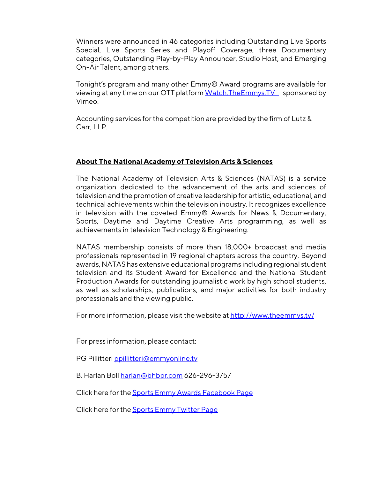Winners were announced in 46 categories including Outstanding Live Sports Special, Live Sports Series and Playoff Coverage, three Documentary categories, Outstanding Play-by-Play Announcer, Studio Host, and Emerging On-Air Talent, among others.

Tonight's program and many other Emmy® Award programs are available for viewing at any time on our OTT platform Watch.TheEmmys.TV sponsored by Vimeo.

Accounting services for the competition are provided by the firm of Lutz & Carr, LLP.

### **About The National Academy of Television Arts & Sciences**

The National Academy of Television Arts & Sciences (NATAS) is a service organization dedicated to the advancement of the arts and sciences of television and the promotion of creative leadership for artistic, educational, and technical achievements within the television industry. It recognizes excellence in television with the coveted Emmy® Awards for News & Documentary, Sports, Daytime and Daytime Creative Arts programming, as well as achievements in television Technology & Engineering.

NATAS membership consists of more than 18,000+ broadcast and media professionals represented in 19 regional chapters across the country. Beyond awards, NATAS has extensive educational programs including regional student television and its Student Award for Excellence and the National Student Production Awards for outstanding journalistic work by high school students, as well as scholarships, publications, and major activities for both industry professionals and the viewing public.

For more information, please visit the website at http://www.theemmys.tv/

For press information, please contact:

PG Pillitteri ppillitteri@emmyonline.tv

B. Harlan Boll harlan@bhbpr.com 626-296-3757

Click here for the Sports Emmy Awards Facebook Page

Click here for the Sports Emmy Twitter Page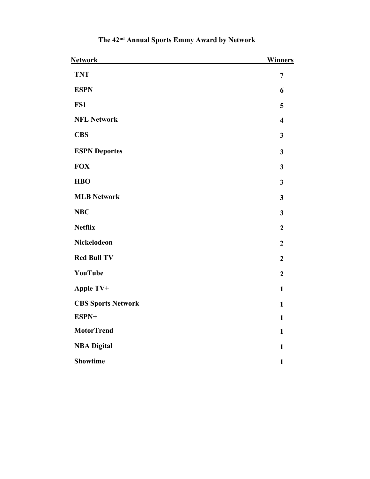| <b>Network</b>            | Winners                 |
|---------------------------|-------------------------|
| <b>TNT</b>                | $\overline{7}$          |
| <b>ESPN</b>               | 6                       |
| FS1                       | 5                       |
| <b>NFL Network</b>        | $\overline{\mathbf{4}}$ |
| <b>CBS</b>                | $\mathbf{3}$            |
| <b>ESPN Deportes</b>      | $\overline{\mathbf{3}}$ |
| <b>FOX</b>                | $\overline{\mathbf{3}}$ |
| <b>HBO</b>                | $\overline{\mathbf{3}}$ |
| <b>MLB Network</b>        | $\mathbf{3}$            |
| <b>NBC</b>                | $\overline{\mathbf{3}}$ |
| <b>Netflix</b>            | $\overline{2}$          |
| Nickelodeon               | $\overline{2}$          |
| <b>Red Bull TV</b>        | $\overline{2}$          |
| YouTube                   | $\overline{2}$          |
| Apple TV+                 | $\mathbf{1}$            |
| <b>CBS Sports Network</b> | $\mathbf{1}$            |
| ESPN+                     | $\mathbf{1}$            |
| <b>MotorTrend</b>         | $\mathbf{1}$            |
| <b>NBA Digital</b>        | $\mathbf{1}$            |
| <b>Showtime</b>           | $\mathbf{1}$            |

# **The 42nd Annual Sports Emmy Award by Network**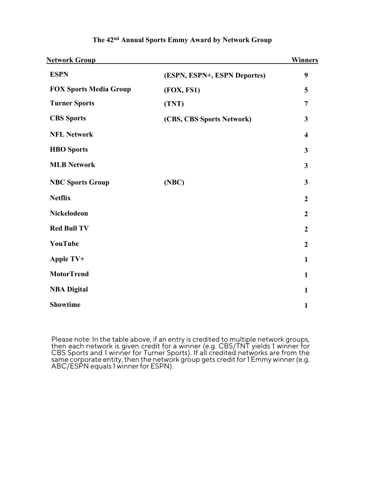| <u>Network Group</u>          |                              | Winners                 |
|-------------------------------|------------------------------|-------------------------|
| <b>ESPN</b>                   | (ESPN, ESPN+, ESPN Deportes) | 9                       |
| <b>FOX Sports Media Group</b> | (FOX, FS1)                   | 5                       |
| <b>Turner Sports</b>          | (TNT)                        | 7                       |
| <b>CBS</b> Sports             | (CBS, CBS Sports Network)    | $\mathbf{3}$            |
| <b>NFL Network</b>            |                              | $\overline{\mathbf{4}}$ |
| <b>HBO</b> Sports             |                              | $\overline{\mathbf{3}}$ |
| <b>MLB Network</b>            |                              | $\mathbf{3}$            |
| <b>NBC Sports Group</b>       | (NBC)                        | $\mathbf{3}$            |
| <b>Netflix</b>                |                              | $\overline{2}$          |
| Nickelodeon                   |                              | $\boldsymbol{2}$        |
| <b>Red Bull TV</b>            |                              | $\boldsymbol{2}$        |
| YouTube                       |                              | $\boldsymbol{2}$        |
| <b>Apple TV+</b>              |                              | $\mathbf{1}$            |
| <b>MotorTrend</b>             |                              | $\mathbf{1}$            |
| <b>NBA Digital</b>            |                              | $\mathbf{1}$            |
| <b>Showtime</b>               |                              | 1                       |

### **The 42nd Annual Sports Emmy Award by Network Group**

Please note: In the table above, if an entry is credited to multiple network groups, then each network is given credit for a winner (e.g. CBS/TNT yields 1 winner for CBS Sports and 1 winner for Turner Sports). If all credited networks are from the<br>same corporate entity, then the network group gets credit for 1 Emmy winner (e.g.<br>ABC/ESPN equals 1 winner for ESPN).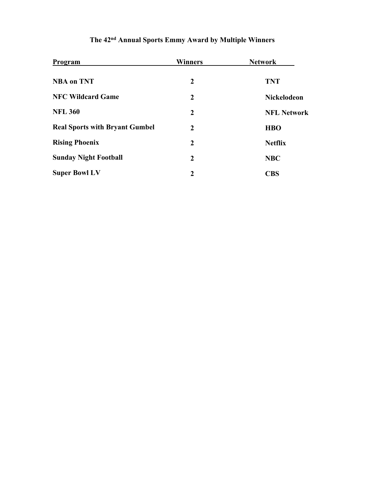| <b>Program</b>                        | <b>Winners</b> | <b>Network</b>     |
|---------------------------------------|----------------|--------------------|
| <b>NBA on TNT</b>                     | 2              | <b>TNT</b>         |
| <b>NFC Wildcard Game</b>              | 2              | <b>Nickelodeon</b> |
| <b>NFL 360</b>                        | $\mathbf 2$    | <b>NFL Network</b> |
| <b>Real Sports with Bryant Gumbel</b> | 2              | <b>HBO</b>         |
| <b>Rising Phoenix</b>                 | 2              | <b>Netflix</b>     |
| <b>Sunday Night Football</b>          | 2              | <b>NBC</b>         |
| <b>Super Bowl LV</b>                  | $\mathbf 2$    | <b>CBS</b>         |

# **The 42nd Annual Sports Emmy Award by Multiple Winners**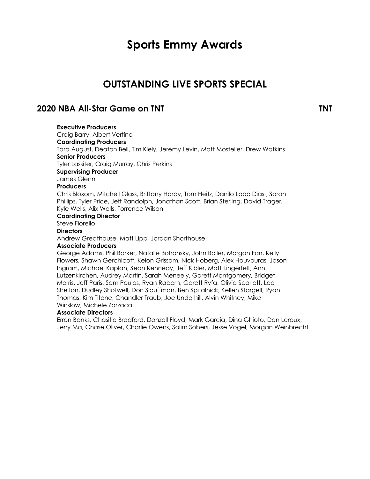# **Sports Emmy Awards**

## **OUTSTANDING LIVE SPORTS SPECIAL**

### **2020 NBA All-Star Game on TNT TNT**

**Executive Producers**

### Craig Barry, Albert Vertino **Coordinating Producers** Tara August, Deaton Bell, Tim Kiely, Jeremy Levin, Matt Mosteller, Drew Watkins **Senior Producers** Tyler Lassiter, Craig Murray, Chris Perkins **Supervising Producer** James Glenn **Producers** Chris Bloxom, Mitchell Glass, Brittany Hardy, Tom Heitz, Danilo Lobo Dias , Sarah Phillips, Tyler Price, Jeff Randolph, Jonathan Scott, Brian Sterling, David Trager, Kyle Wells, Alix Wells, Torrence Wilson **Coordinating Director** Steve Fiorello

#### **Directors**

Andrew Greathouse, Matt Lipp, Jordan Shorthouse

### **Associate Producers**

George Adams, Phil Barker, Natalie Bohonsky, John Boller, Morgan Farr, Kelly Flowers, Shawn Gerchicoff, Keion Grissom, Nick Hoberg, Alex Houvouras, Jason Ingram, Michael Kaplan, Sean Kennedy, Jeff Kibler, Matt Lingerfelt, Ann Lutzenkirchen, Audrey Martin, Sarah Meneely, Garett Montgomery, Bridget Morris, Jeff Paris, Sam Poulos, Ryan Rabern, Garett Ryfa, Olivia Scarlett, Lee Shelton, Dudley Shotwell, Don Slouffman, Ben Spitalnick, Kellen Stargell, Ryan Thomas, Kim Titone, Chandler Traub, Joe Underhill, Alvin Whitney, Mike Winslow, Michele Zarzaca

#### **Associate Directors**

Erron Banks, Chasitie Bradford, Donzell Floyd, Mark Garcia, Dina Ghioto, Dan Leroux, Jerry Ma, Chase Oliver, Charlie Owens, Salim Sobers, Jesse Vogel, Morgan Weinbrecht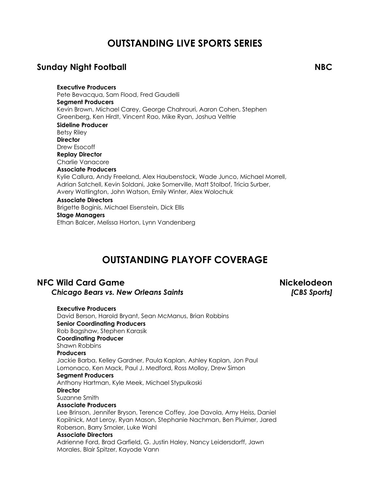# **OUTSTANDING LIVE SPORTS SERIES**

### **Sunday Night Football NBC**

**Executive Producers** Pete Bevacqua, Sam Flood, Fred Gaudelli **Segment Producers** Kevin Brown, Michael Carey, George Chahrouri, Aaron Cohen, Stephen Greenberg, Ken Hirdt, Vincent Rao, Mike Ryan, Joshua Veltrie **Sideline Producer** Betsy Riley **Director** Drew Esocoff **Replay Director** Charlie Vanacore **Associate Producers** Kylie Callura, Andy Freeland, Alex Haubenstock, Wade Junco, Michael Morrell, Adrian Satchell, Kevin Soldani, Jake Somerville, Matt Stolbof, Tricia Surber, Avery Watlington, John Watson, Emily Winter, Alex Wolochuk **Associate Directors** Brigette Boginis, Michael Eisenstein, Dick Ellis **Stage Managers** Ethan Balcer, Melissa Horton, Lynn Vandenberg

# **OUTSTANDING PLAYOFF COVERAGE**

### **NFC Wild Card Game Nickelodeon**

*Chicago Bears vs. New Orleans Saints [CBS Sports]*

**Executive Producers**

David Berson, Harold Bryant, Sean McManus, Brian Robbins **Senior Coordinating Producers** Rob Bagshaw, Stephen Karasik **Coordinating Producer** Shawn Robbins **Producers** Jackie Barba, Kelley Gardner, Paula Kaplan, Ashley Kaplan, Jon Paul Lomonaco, Ken Mack, Paul J. Medford, Ross Molloy, Drew Simon **Segment Producers** Anthony Hartman, Kyle Meek, Michael Stypulkoski **Director** Suzanne Smith **Associate Producers** Lee Brinson, Jennifer Bryson, Terence Coffey, Joe Davola, Amy Heiss, Daniel Kopilnick, Mat Leroy, Ryan Mason, Stephanie Nachman, Ben Pluimer, Jared Roberson, Barry Smoler, Luke Wahl **Associate Directors** Adrienne Ford, Brad Garfield, G. Justin Haley, Nancy Leidersdorff, Jawn Morales, Blair Spitzer, Kayode Vann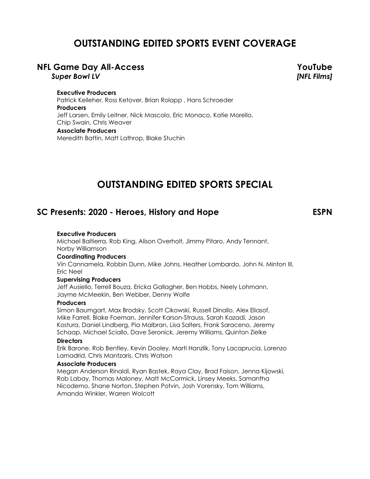# **OUTSTANDING EDITED SPORTS EVENT COVERAGE**

### **NFL Game Day All-Access YouTube** *Super Bowl LV [NFL Films]*

**Executive Producers** Patrick Kelleher, Ross Ketover, Brian Rolapp , Hans Schroeder **Producers** Jeff Larsen, Emily Leitner, Nick Mascolo, Eric Monaco, Katie Morello, Chip Swain, Chris Weaver **Associate Producers**

Meredith Battin, Matt Lathrop, Blake Stuchin

## **OUTSTANDING EDITED SPORTS SPECIAL**

### **SC Presents: 2020 - Heroes, History and Hope ESPN**

**Executive Producers**

Michael Baltierra, Rob King, Alison Overholt, Jimmy Pitaro, Andy Tennant, Norby Williamson

#### **Coordinating Producers**

Vin Cannamela, Robbin Dunn, Mike Johns, Heather Lombardo, John N. Minton III, Eric Neel

### **Supervising Producers**

Jeff Ausiello, Terrell Bouza, Ericka Gallagher, Ben Hobbs, Neely Lohmann, Jayme McMeekin, Ben Webber, Denny Wolfe

#### **Producers**

Simon Baumgart, Max Brodsky, Scott Cikowski, Russell Dinallo, Alex Eliasof, Mike Farrell, Blake Foeman, Jennifer Karson-Strauss, Sarah Kazadi, Jason Kostura, Daniel Lindberg, Pia Malbran, Lisa Salters, Frank Saraceno, Jeremy Schaap, Michael Sciallo, Dave Seronick, Jeremy Williams, Quinton Zielke

### **Directors**

Erik Barone, Rob Bentley, Kevin Dooley, Marti Hanzlik, Tony Lacaprucia, Lorenzo Lamadrid, Chris Mantzaris, Chris Watson

#### **Associate Producers**

Megan Anderson Rinaldi, Ryan Bastek, Raya Clay, Brad Faison, Jenna Kijowski, Rob Labay, Thomas Maloney, Matt McCormick, Linsey Meeks, Samantha Nicodemo, Shane Norton, Stephen Potvin, Josh Vorensky, Tom Williams, Amanda Winkler, Warren Wolcott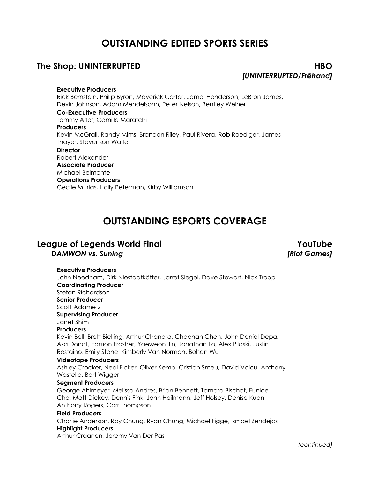# **OUTSTANDING EDITED SPORTS SERIES**

### **The Shop: UNINTERRUPTED HBO**

# *[UNINTERRUPTED/Frēhand]*

#### **Executive Producers**

Rick Bernstein, Philip Byron, Maverick Carter, Jamal Henderson, LeBron James, Devin Johnson, Adam Mendelsohn, Peter Nelson, Bentley Weiner

### **Co-Executive Producers**

Tommy Alter, Camille Maratchi **Producers** Kevin McGrail, Randy Mims, Brandon Riley, Paul Rivera, Rob Roediger, James

#### Thayer, Stevenson Waite **Director**

Robert Alexander

### **Associate Producer**

Michael Belmonte

### **Operations Producers**

Cecile Murias, Holly Peterman, Kirby Williamson

# **OUTSTANDING ESPORTS COVERAGE**

### **League of Legends World Final YouTube** *DAMWON vs. Suning [Riot Games]*

#### **Executive Producers**

John Needham, Dirk Niestadtkötter, Jarret Siegel, Dave Stewart, Nick Troop **Coordinating Producer** Stefan Richardson **Senior Producer** Scott Adametz **Supervising Producer** Janet Shim **Producers** Kevin Bell, Brett Bielling, Arthur Chandra, Chaohan Chen, John Daniel Depa, Asa Donat, Eamon Frasher, Yaeweon Jin, Jonathan Lo, Alex Pilaski, Justin Restaino, Emily Stone, Kimberly Van Norman, Bohan Wu **Videotape Producers** Ashley Crocker, Neal Ficker, Oliver Kemp, Cristian Smeu, David Voicu, Anthony Wastella, Bart Wigger **Segment Producers** George Ahlmeyer, Melissa Andres, Brian Bennett, Tamara Bischof, Eunice Cho, Matt Dickey, Dennis Fink, John Heilmann, Jeff Holsey, Denise Kuan, Anthony Rogers, Carr Thompson **Field Producers** Charlie Anderson, Roy Chung, Ryan Chung, Michael Figge, Ismael Zendejas **Highlight Producers**

Arthur Craanen, Jeremy Van Der Pas

*(continued)*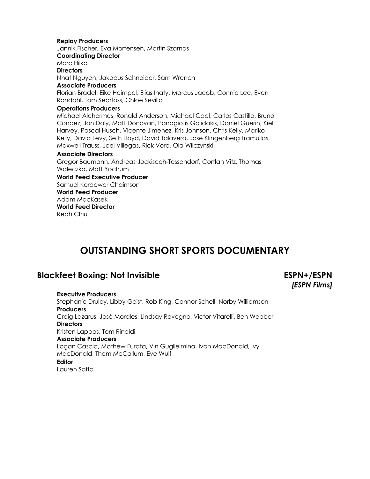**Replay Producers** Jannik Fischer, Eva Mortensen, Martin Szarnas **Coordinating Director** Marc Hilko **Directors** Nhat Nguyen, Jakobus Schneider, Sam Wrench **Associate Producers** Florian Bradel, Eike Heimpel, Elias Inaty, Marcus Jacob, Connie Lee, Even Rondahl, Tom Searfoss, Chloe Sevilla **Operations Producers** Michael Alchermes, Ronald Anderson, Michael Caal, Carlos Castillo, Bruno Condez, Jon Daly, Matt Donovan, Panagiotis Galidakis, Daniel Guerin, Kiel Harvey, Pascal Husch, Vicente Jimenez, Kris Johnson, Chris Kelly, Mariko Kelly, David Levy, Seth Lloyd, David Talavera, Jose Klingenberg Tramullas, Maxwell Trauss, Joel Villegas, Rick Voro, Ola Wilczynski **Associate Directors** Gregor Baumann, Andreas Jockisceh-Tessendorf, Cortlan Vitz, Thomas Waleczka, Matt Yochum

**World Feed Executive Producer** Samuel Kordower Chaimson

**World Feed Producer** Adam MacKasek **World Feed Director** Reah Chiu

# **OUTSTANDING SHORT SPORTS DOCUMENTARY**

### **Blackfeet Boxing: Not Invisible ESPN+/ESPN**

*[ESPN Films]*

### **Executive Producers** Stephanie Druley, Libby Geist, Rob King, Connor Schell, Norby Williamson **Producers** Craig Lazarus, José Morales, Lindsay Rovegno, Victor Vitarelli, Ben Webber **Directors** Kristen Lappas, Tom Rinaldi **Associate Producers** Logan Cascia, Mathew Furata, Vin Guglielmina, Ivan MacDonald, Ivy MacDonald, Thom McCallum, Eve Wulf **Editor** Lauren Saffa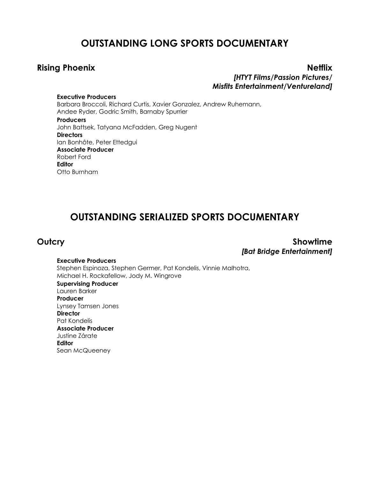# **OUTSTANDING LONG SPORTS DOCUMENTARY**

### **Rising Phoenix Netflix** *[HTYT Films/Passion Pictures/ Misfits Entertainment/Ventureland]*

**Executive Producers** Barbara Broccoli, Richard Curtis, Xavier Gonzalez, Andrew Ruhemann, Andee Ryder, Godric Smith, Barnaby Spurrier **Producers** John Battsek, Tatyana McFadden, Greg Nugent **Directors** Ian Bonhôte, Peter Ettedgui **Associate Producer** Robert Ford **Editor** Otto Burnham

# **OUTSTANDING SERIALIZED SPORTS DOCUMENTARY**

### **Outcry Showtime** *[Bat Bridge Entertainment]*

**Executive Producers** Stephen Espinoza, Stephen Germer, Pat Kondelis, Vinnie Malhotra, Michael H. Rockafellow, Jody M. Wingrove **Supervising Producer**

Lauren Barker **Producer** Lynsey Tamsen Jones **Director** Pat Kondelis **Associate Producer** Justine Zárate **Editor** Sean McQueeney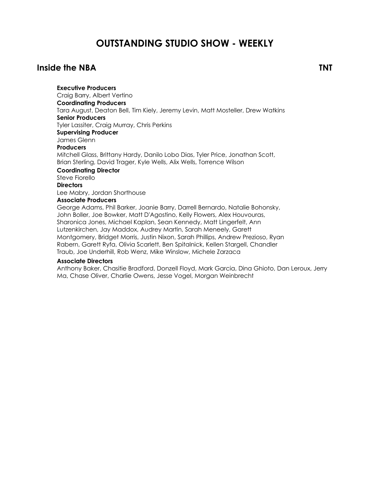# **OUTSTANDING STUDIO SHOW - WEEKLY**

### **Inside the NBA TNT**

**Executive Producers** Craig Barry, Albert Vertino **Coordinating Producers** Tara August, Deaton Bell, Tim Kiely, Jeremy Levin, Matt Mosteller, Drew Watkins **Senior Producers** Tyler Lassiter, Craig Murray, Chris Perkins **Supervising Producer** James Glenn **Producers** Mitchell Glass, Brittany Hardy, Danilo Lobo Dias, Tyler Price, Jonathan Scott, Brian Sterling, David Trager, Kyle Wells, Alix Wells, Torrence Wilson **Coordinating Director** Steve Fiorello **Directors** Lee Mabry, Jordan Shorthouse **Associate Producers** George Adams, Phil Barker, Joanie Barry, Darrell Bernardo, Natalie Bohonsky, John Boller, Joe Bowker, Matt D'Agostino, Kelly Flowers, Alex Houvouras,

Sharonica Jones, Michael Kaplan, Sean Kennedy, Matt Lingerfelt, Ann Lutzenkirchen, Jay Maddox, Audrey Martin, Sarah Meneely, Garett Montgomery, Bridget Morris, Justin Nixon, Sarah Phillips, Andrew Prezioso, Ryan Rabern, Garett Ryfa, Olivia Scarlett, Ben Spitalnick, Kellen Stargell, Chandler Traub, Joe Underhill, Rob Wenz, Mike Winslow, Michele Zarzaca

#### **Associate Directors**

Anthony Baker, Chasitie Bradford, Donzell Floyd, Mark Garcia, Dina Ghioto, Dan Leroux, Jerry Ma, Chase Oliver, Charlie Owens, Jesse Vogel, Morgan Weinbrecht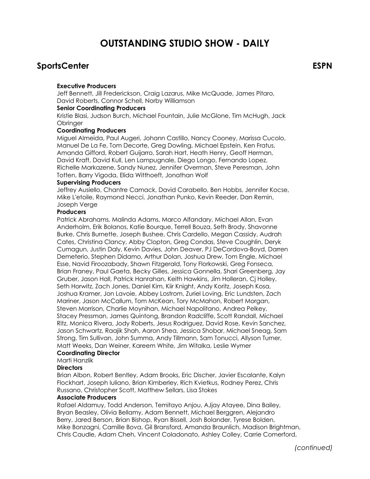### **SportsCenter ESPN**

### **Executive Producers**

Jeff Bennett, Jill Frederickson, Craig Lazarus, Mike McQuade, James Pitaro, David Roberts, Connor Schell, Norby Williamson

#### **Senior Coordinating Producers**

Kristie Blasi, Judson Burch, Michael Fountain, Julie McGlone, Tim McHugh, Jack **Obringer** 

### **Coordinating Producers**

Miguel Almeida, Paul Augeri, Johann Castillo, Nancy Cooney, Marissa Cucolo, Manuel De La Fe, Tom Decorte, Greg Dowling, Michael Epstein, Ken Fratus, Amanda Gifford, Robert Guijarro, Sarah Hart, Heath Henry, Geoff Herman, David Kraft, David Kull, Len Lampugnale, Diego Longo, Fernando Lopez, Richelle Markazene, Sandy Nunez, Jennifer Overman, Steve Peresman, John Totten, Barry Vigoda, Elida Witthoeft, Jonathan Wolf

#### **Supervising Producers**

Jeffrey Ausiello, Chantre Camack, David Carabello, Ben Hobbs, Jennifer Kocse, Mike L'etoile, Raymond Necci, Jonathan Punko, Kevin Reeder, Dan Remin, Joseph Verge

#### **Producers**

Patrick Abrahams, Malinda Adams, Marco Alfandary, Michael Allan, Evan Anderholm, Erik Bolanos, Katie Bourque, Terrell Bouza, Seth Brody, Shavonne Burke, Chris Burnette, Joseph Bushee, Chris Cardello, Megan Cassidy, Audrah Cates, Christina Clancy, Abby Clopton, Greg Condas, Steve Coughlin, Deryk Cumagun, Justin Daly, Kevin Davies, John Deaver, PJ DeCordova-Boyd, Darren Demeterio, Stephen Didamo, Arthur Dolan, Joshua Drew, Tom Engle, Michael Esse, Navid Firoozabady, Shawn Fitzgerald, Tony Florkowski, Greg Fonseca, Brian Franey, Paul Gaeta, Becky Gilles, Jessica Gonnella, Shari Greenberg, Jay Gruber, Jason Hall, Patrick Hanrahan, Keith Hawkins, Jim Holleran, Cj Holley, Seth Horwitz, Zach Jones, Daniel Kim, Kiir Knight, Andy Koritz, Joseph Kosa, Joshua Kramer, Jon Lavoie, Abbey Lostrom, Zuriel Loving, Eric Lundsten, Zach Mariner, Jason McCallum, Tom McKean, Tory McMahon, Robert Morgan, Steven Morrison, Charlie Moynihan, Michael Napolitano, Andrea Pelkey, Stacey Pressman, James Quintong, Brandon Radcliffe, Scott Randall, Michael Ritz, Monica Rivera, Jody Roberts, Jesus Rodriguez, David Rose, Kevin Sanchez, Jason Schwartz, Raajik Shah, Aaron Shea, Jessica Shobar, Michael Sneag, Sam Strong, Tim Sullivan, John Summa, Andy Tillmann, Sam Tonucci, Allyson Turner, Matt Weeks, Dan Weiner, Kareem White, Jim Witalka, Leslie Wymer

#### **Coordinating Director**

Marti Hanzlik

#### **Directors**

Brian Albon, Robert Bentley, Adam Brooks, Eric Discher, Javier Escalante, Kalyn Flockhart, Joseph Iuliano, Brian Kimberley, Rich Kvietkus, Rodney Perez, Chris Russano, Christopher Scott, Matthew Sellars, Lisa Stokes

#### **Associate Producers**

Rafael Aldamuy, Todd Anderson, Temitayo Anjou, AJjay Atayee, Dina Bailey, Bryan Beasley, Olivia Bellamy, Adam Bennett, Michael Berggren, Alejandro Berry, Jared Berson, Brian Bishop, Ryan Bissell, Josh Bolander, Tyrese Bolden, Mike Bonzagni, Camille Bova, Gil Bransford, Amanda Braunlich, Madison Brightman, Chris Caudle, Adam Cheh, Vincent Coladonato, Ashley Colley, Carrie Comerford,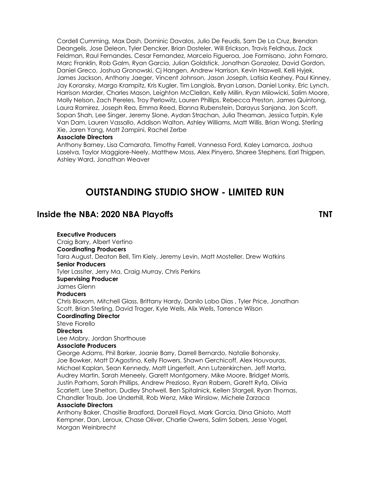Cordell Cumming, Max Dash, Dominic Davalos, Julio De Feudis, Sam De La Cruz, Brendan Deangelis, Jose Deleon, Tyler Dencker, Brian Dosteler, Will Erickson, Travis Feldhaus, Zack Feldman, Raul Fernandes, Cesar Fernandez, Marcelo Figueroa, Joe Formisano, John Fornaro, Marc Franklin, Rob Galm, Ryan Garcia, Julian Goldstick, Jonathan Gonzalez, David Gordon, Daniel Greco, Joshua Gronowski, Cj Hangen, Andrew Harrison, Kevin Haswell, Kelli Hyjek, James Jackson, Anthony Jaeger, Vincent Johnson, Jason Joseph, Latisia Keahey, Paul Kinney, Jay Koransky, Margo Krampitz, Kris Kugler, Tim Langlois, Bryan Larson, Daniel Lonky, Eric Lynch, Harrison Marder, Charles Mason, Leighton McClellan, Kelly Millin, Ryan Milowicki, Salim Moore, Molly Nelson, Zach Pereles, Troy Perlowitz, Lauren Phillips, Rebecca Preston, James Quintong, Laura Ramirez, Joseph Rea, Emma Reed, Elanna Rubenstein, Darayus Sanjana, Jon Scott, Sopan Shah, Lee Singer, Jeremy Slone, Aydan Strachan, Julia Theaman, Jessica Turpin, Kyle Van Dam, Lauren Vassallo, Addison Walton, Ashley Williams, Matt Willis, Brian Wong, Sterling Xie, Jaren Yang, Matt Zampini, Rachel Zerbe

### **Associate Directors**

Anthony Barney, Lisa Camarata, Timothy Farrell, Vannessa Ford, Kaley Lamarca, Joshua Laselva, Taylor Maggiore-Neely, Matthew Moss, Alex Pinyero, Sharee Stephens, Earl Thigpen, Ashley Ward, Jonathan Weaver

# **OUTSTANDING STUDIO SHOW - LIMITED RUN**

### **Inside the NBA: 2020 NBA Playoffs TNT**

**Executive Producers** Craig Barry, Albert Vertino **Coordinating Producers** Tara August, Deaton Bell, Tim Kiely, Jeremy Levin, Matt Mosteller, Drew Watkins **Senior Producers** Tyler Lassiter, Jerry Ma, Craig Murray, Chris Perkins **Supervising Producer** James Glenn **Producers** Chris Bloxom, Mitchell Glass, Brittany Hardy, Danilo Lobo Dias , Tyler Price, Jonathan Scott, Brian Sterling, David Trager, Kyle Wells, Alix Wells, Torrence Wilson **Coordinating Director** Steve Fiorello **Directors** Lee Mabry, Jordan Shorthouse **Associate Producers** George Adams, Phil Barker, Joanie Barry, Darrell Bernardo, Natalie Bohonsky, Joe Bowker, Matt D'Agostino, Kelly Flowers, Shawn Gerchicoff, Alex Houvouras, Michael Kaplan, Sean Kennedy, Matt Lingerfelt, Ann Lutzenkirchen, Jeff Marta, Audrey Martin, Sarah Meneely, Garett Montgomery, Mike Moore, Bridget Morris, Justin Parham, Sarah Phillips, Andrew Prezioso, Ryan Rabern, Garett Ryfa, Olivia

Scarlett, Lee Shelton, Dudley Shotwell, Ben Spitalnick, Kellen Stargell, Ryan Thomas, Chandler Traub, Joe Underhill, Rob Wenz, Mike Winslow, Michele Zarzaca

### **Associate Directors**

Anthony Baker, Chasitie Bradford, Donzell Floyd, Mark Garcia, Dina Ghioto, Matt Kempner, Dan, Leroux, Chase Oliver, Charlie Owens, Salim Sobers, Jesse Vogel, Morgan Weinbrecht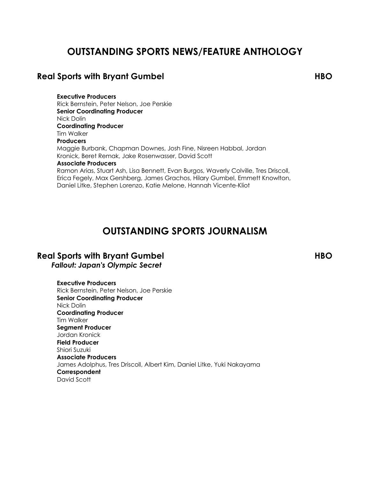# **OUTSTANDING SPORTS NEWS/FEATURE ANTHOLOGY**

### **Real Sports with Bryant Gumbel HBO**

**Executive Producers** Rick Bernstein, Peter Nelson, Joe Perskie **Senior Coordinating Producer** Nick Dolin **Coordinating Producer** Tim Walker **Producers** Maggie Burbank, Chapman Downes, Josh Fine, Nisreen Habbal, Jordan Kronick, Beret Remak, Jake Rosenwasser, David Scott **Associate Producers** Ramon Arias, Stuart Ash, Lisa Bennett, Evan Burgos, Waverly Colville, Tres Driscoll,

Erica Fegely, Max Gershberg, James Grachos, Hilary Gumbel, Emmett Knowlton, Daniel Litke, Stephen Lorenzo, Katie Melone, Hannah Vicente-Kliot

# **OUTSTANDING SPORTS JOURNALISM**

### **Real Sports with Bryant Gumbel HBO** *Fallout: Japan's Olympic Secret*

**Executive Producers**

Rick Bernstein, Peter Nelson, Joe Perskie **Senior Coordinating Producer** Nick Dolin **Coordinating Producer** Tim Walker **Segment Producer** Jordan Kronick **Field Producer** Shiori Suzuki **Associate Producers** James Adolphus, Tres Driscoll, Albert Kim, Daniel Litke, Yuki Nakayama **Correspondent** David Scott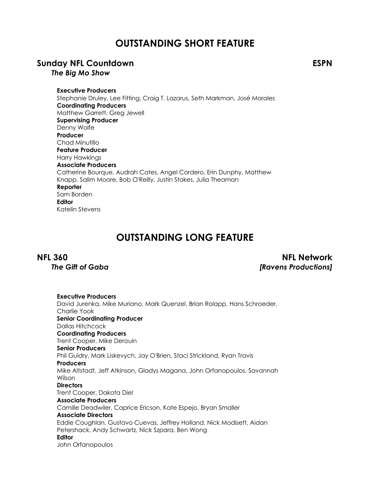# **OUTSTANDING SHORT FEATURE**

### **Sunday NFL Countdown ESPN** *The Big Mo Show* **Executive Producers** Stephanie Druley, Lee Fitting, Craig T. Lazarus, Seth Markman, José Morales **Coordinating Producers** Matthew Garrett, Greg Jewell **Supervising Producer** Denny Wolfe **Producer** Chad Minutillo **Feature Producer** Harry Hawkings **Associate Producers** Catherine Bourque, Audrah Cates, Angel Cordero, Erin Dunphy, Matthew Knapp, Salim Moore, Bob O'Reilly, Justin Stokes, Julia Theaman **Reporter** Sam Borden **Editor** Katelin Stevens

# **OUTSTANDING LONG FEATURE**

**NFL 360 NFL Network** *The Gift of Gaba [Ravens Productions]*

**Executive Producers** David Jurenka, Mike Muriano, Mark Quenzel, Brian Rolapp, Hans Schroeder, Charlie Yook **Senior Coordinating Producer** Dallas Hitchcock **Coordinating Producers** Trent Cooper, Mike Derouin **Senior Producers** Phil Guidry, Mark Liskevych, Jay O'Brien, Staci Strickland, Ryan Travis **Producers** Mike Altstadt, Jeff Atkinson, Gladys Magana, John Orfanopoulos, Savannah Wilson **Directors** Trent Cooper, Dakota Diel **Associate Producers** Camille Deadwiler, Caprice Ericson, Kate Espejo, Bryan Smaller **Associate Directors** Eddie Coughlan, Gustavo Cuevas, Jeffrey Holland, Nick Modisett, Aidan Petershack, Andy Schwartz, Nick Szpara, Ben Wong **Editor** John Orfanopoulos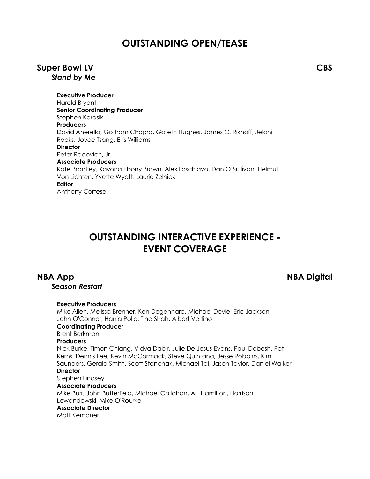# **OUTSTANDING OPEN/TEASE**

### **Super Bowl LV CBS** *Stand by Me*

**Executive Producer** Harold Bryant **Senior Coordinating Producer** Stephen Karasik **Producers** David Anerella, Gotham Chopra, Gareth Hughes, James C. Rikhoff, Jelani Rooks, Joyce Tsang, Ellis Williams **Director** Peter Radovich, Jr. **Associate Producers** Kate Brantley, Kayona Ebony Brown, Alex Loschiavo, Dan O'Sullivan, Helmut Von Lichten, Yvette Wyatt, Laurie Zelnick **Editor** Anthony Cortese

# **OUTSTANDING INTERACTIVE EXPERIENCE - EVENT COVERAGE**

*Season Restart* 

### **NBA App NBA Digital**

**Executive Producers** Mike Allen, Melissa Brenner, Ken Degennaro, Michael Doyle, Eric Jackson, John O'Connor, Hania Polle, Tina Shah, Albert Vertino **Coordinating Producer** Brent Berkman **Producers** Nick Burke, Timon Chiang, Vidya Dabir, Julie De Jesus-Evans, Paul Dobesh, Pat Kerns, Dennis Lee, Kevin McCormack, Steve Quintana, Jesse Robbins, Kim Saunders, Gerald Smith, Scott Stanchak, Michael Tai, Jason Taylor, Daniel Walker **Director** Stephen Lindsey **Associate Producers** Mike Burr, John Butterfield, Michael Callahan, Art Hamilton, Harrison Lewandowski, Mike O'Rourke **Associate Director** Matt Kempner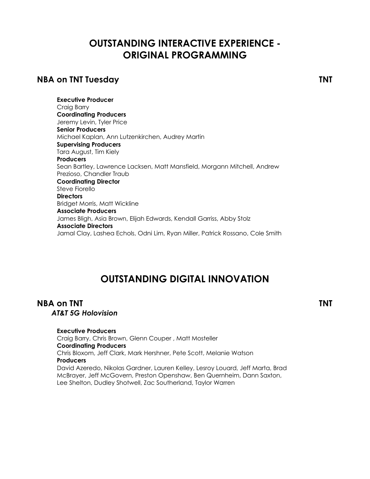# **OUTSTANDING INTERACTIVE EXPERIENCE - ORIGINAL PROGRAMMING**

### **NBA on TNT Tuesday TNT**

**Executive Producer** Craig Barry **Coordinating Producers** Jeremy Levin, Tyler Price **Senior Producers** Michael Kaplan, Ann Lutzenkirchen, Audrey Martin **Supervising Producers** Tara August, Tim Kiely **Producers** Sean Bartley, Lawrence Lacksen, Matt Mansfield, Morgann Mitchell, Andrew Prezioso, Chandler Traub **Coordinating Director** Steve Fiorello **Directors** Bridget Morris, Matt Wickline **Associate Producers** James Bligh, Asia Brown, Elijah Edwards, Kendall Garriss, Abby Stolz **Associate Directors** Jamal Clay, Lashea Echols, Odni Lim, Ryan Miller, Patrick Rossano, Cole Smith

# **OUTSTANDING DIGITAL INNOVATION**

### **NBA on TNT TNT** *AT&T 5G Holovision*

**Executive Producers** Craig Barry, Chris Brown, Glenn Couper , Matt Mosteller **Coordinating Producers** Chris Bloxom, Jeff Clark, Mark Hershner, Pete Scott, Melanie Watson **Producers** David Azeredo, Nikolas Gardner, Lauren Kelley, Lesroy Louard, Jeff Marta, Brad McBrayer, Jeff McGovern, Preston Openshaw, Ben Quernheim, Dann Saxton, Lee Shelton, Dudley Shotwell, Zac Southerland, Taylor Warren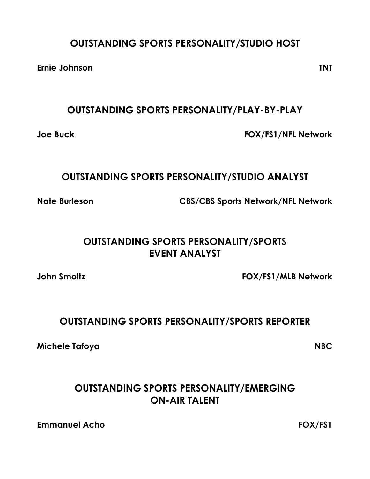# **OUTSTANDING SPORTS PERSONALITY/STUDIO HOST**

**Ernie Johnson TNT**

# **OUTSTANDING SPORTS PERSONALITY/PLAY-BY-PLAY**

**Joe Buck FOX/FS1/NFL Network**

## **OUTSTANDING SPORTS PERSONALITY/STUDIO ANALYST**

**Nate Burleson CBS/CBS Sports Network/NFL Network**

# **OUTSTANDING SPORTS PERSONALITY/SPORTS EVENT ANALYST**

**John Smoltz FOX/FS1/MLB Network**

# **OUTSTANDING SPORTS PERSONALITY/SPORTS REPORTER**

**Michele Tafoya NBC**

# **OUTSTANDING SPORTS PERSONALITY/EMERGING ON-AIR TALENT**

**Emmanuel Acho FOX/FS1**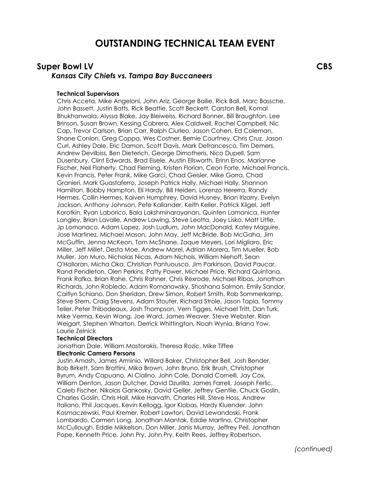### **Super Bowl LV CBS** *Kansas City Chiefs vs. Tampa Bay Buccaneers*

#### **Technical Supervisors**

Chris Acceta, Mike Angeloni, John Ariz, George Bailie, Rick Ball, Marc Bassche, John Bassett, Justin Batts, Rick Beattie, Scott Beckett, Carston Bell, Komal Bhukhanwala, Alyssa Blake, Jay Bleiweiss, Richard Bonner, Bill Braughton, Lee Brinson, Susan Brown, Kessing Cabrera, Alex Caldwell, Rachel Campbell, Nic Cap, Trevor Carlson, Brian Carr, Ralph Ciurleo, Jason Cohen, Ed Coleman, Shane Conlon, Greg Coppa, Wes Costner, Bernie Courtney, Chris Cruz, Jason Curl, Ashley Dale, Eric Damon, Scott Davis, Mark Defrancesco, Tim Demers, Andrew Devilbiss, Ben Dieterich, George Dimotheris, Nico Dupell, Sam Dusenbury, Clint Edwards, Brad Eisele, Austin Ellsworth, Erinn Enos, Marianne Fischer, Neil Flaherty, Chad Fleming, Kristen Florian, Ceon Forte, Michael Francis, Kevin Francis, Peter Frank, Mike Garci, Chad Geisler, Mike Gorra, Chad Granieri, Mark Guastaferro, Joseph Patrick Hally, Michael Hally, Shannon Hamilton, Bobby Hampton, Eli Hardy, Bill Heiden, Lorenzo Hererra, Randy Hermes, Collin Hermes, Kaiven Humphrey, David Husney, Brian Irizarry, Evelyn Jackson, Anthony Johnson, Pete Kallander, Keith Keller, Patrick Kligel, Jeff Korotkin, Ryan Laborico, Bala Lakshminarayanan, Quinten Lamonica, Hunter Langley, Brian Lavalle, Andrew Lawing, Steve Leotta, Joey Lisko, Matt Little, Jp Lomonaco, Adam Lopez, Josh Ludlum, John MacDonald, Katey Maguire, Jose Martinez, Michael Mason, John May, Jeff McBride, Bob McGaha, Jim McGuffin, Jenna McKeon, Tom McShane, Zaque Meyers, Lori Migliaro, Eric Miller, Jeff Millet, Desta Moe, Andrew Morel, Adrian Morera, Tim Mueller, Bob Muller, Jon Muro, Nicholas Nicas, Adam Nichols, William Niehoff, Sean O'Halloran, Micha Oka, Christian Pantuousco, Jim Parkinson, David Paucar, Rand Pendleton, Olen Perkins, Patty Power, Michael Price, Richard Quintana, Frank Rafka, Brian Rahe, Chris Rahner, Chris Rexrode, Michael Ribas, Jonathan Richards, John Robledo, Adam Romanowsky, Shoshana Salmon, Emily Sandor, Caitlyn Schiano, Don Sheridan, Drew Simon, Robert Smith, Rob Sommerkamp, Steve Stern, Craig Stevens, Adam Stouter, Richard Strole, Jason Tapia, Tommy Teller, Peter Thibodeaux, Josh Thompson, Vern Tigges, Michael Tritt, Dan Turk, Mike Verma, Kevin Wang, Joe Ward, James Weaver, Steve Webster, Rian Weigart, Stephen Wharton, Derrick Whittington, Noah Wynia, Briana Yow, Laurie Zelnick

#### **Technical Directors**

Jonathan Dale, William Mastorakis, Theresa Rozic, Mike Tiffee

#### **Electronic Camera Persons**

Justin Amash, James Arminio, Willard Baker, Christopher Bell, Josh Bender, Bob Birkett, Sam Brattini, Mika Brown, John Bruno, Erik Brush, Christopher Byrum, Andy Capuano, Al Cialino, John Cole, Donald Cornelli, Jay Cox, William Denton, Jason Dutcher, David Dzurilla, James Farrell, Joseph Ferlic, Caleb Fischer, Nikolas Gankosky, David Geller, Jeffrey Gentile, Chuck Goslin, Charles Goslin, Chris Hall, Mike Harvath, Charles Hill, Steve Hoss, Andrew Italiano, Phil Jacques, Kevin Kellogg, Igor Klobas, Hardy Kluender, John Kosmaczewski, Paul Kremer, Robert Lawton, David Lewandoski, Frank Lombardo, Carmen Long, Jonathan Mantak, Eddie Martino, Christopher McCullough, Eddie Mikkelson, Don Miller, Janis Murray, Jeffrey Peil, Jonathan Pope, Kenneth Price, John Pry, John Pry, Keith Rees, Jeffrey Robertson,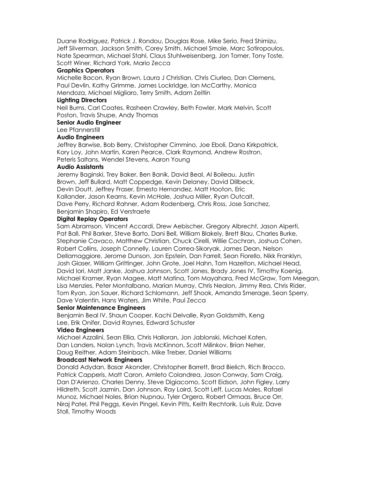Duane Rodriguez, Patrick J. Rondou, Douglas Rose, Mike Serio, Fred Shimizu, Jeff Silverman, Jackson Smith, Corey Smith, Michael Smole, Marc Sotiropoulos, Nate Spearman, Michael Stahl, Claus Stuhlweisenberg, Jon Tomer, Tony Toste, Scott Winer, Richard York, Mario Zecca

#### **Graphics Operators**

Michelle Bacon, Ryan Brown, Laura J Christian, Chris Ciurleo, Dan Clemens, Paul Devlin, Kathy Grimme, James Lockridge, Ian McCarthy, Monica Mendoza, Michael Migliaro, Terry Smith, Adam Zeitlin

#### **Lighting Directors**

Neil Burns, Carl Coates, Rasheen Crawley, Beth Fowler, Mark Melvin, Scott Poston, Travis Shupe, Andy Thomas

### **Senior Audio Engineer**

Lee Pfannerstill

### **Audio Engineers**

Jeffrey Barwise, Bob Berry, Christopher Cimmino, Joe Eboli, Dana Kirkpatrick, Kory Loy, John Martin, Karen Pearce, Clark Raymond, Andrew Rostron, Peteris Saltans, Wendel Stevens, Aaron Young

### **Audio Assistants**

Jeremy Baginski, Trey Baker, Ben Banik, David Beal, Al Boileau, Justin Brown, Jeff Bullard, Matt Coppedge, Kevin Delaney, David Dillbeck, Devin Doutt, Jeffrey Fraser, Ernesto Hernandez, Matt Hooton, Eric Kallander, Jason Kearns, Kevin McHale, Joshua Miller, Ryan Outcalt, Dave Perry, Richard Rahner, Adam Rodenberg, Chris Ross, Jose Sanchez, Benjamin Shapiro, Ed Verstraete

### **Digital Replay Operators**

Sam Abramson, Vincent Accardi, Drew Aebischer, Gregory Albrecht, Jason Alperti, Pat Ball, Phil Barker, Steve Barto, Dani Bell, William Blakely, Brett Blau, Charles Burke, Stephanie Cavaco, Matthew Christian, Chuck Cirelli, Willie Cochran, Joshua Cohen, Robert Collins, Joseph Connelly, Lauren Correa-Sikoryak, James Dean, Nelson Dellamaggiore, Jerome Dunson, Jon Epstein, Dan Farrell, Sean Fiorello, Nikk Franklyn, Josh Glaser, William Grittinger, John Grote, Joel Hahn, Tom Hazelton, Michael Head, David Iori, Matt Janke, Joshua Johnson, Scott Jones, Brady Jones IV, Timothy Koenig, Michael Kramer, Ryan Magee, Matt Matina, Tom Mayahara, Fred McGraw, Tom Meegan, Lisa Menzies, Peter Montalbano, Marian Murray, Chris Nealon, Jimmy Rea, Chris Rider, Tom Ryan, Jon Sauer, Richard Schlomann, Jeff Shook, Amanda Smerage, Sean Sperry, Dave Valentin, Hans Waters, Jim White, Paul Zecca

### **Senior Maintenance Engineers**

Benjamin Beal IV, Shaun Cooper, Kachi Delvalle, Ryan Goldsmith, Keng Lee, Erik Onifer, David Raynes, Edward Schuster

### **Video Engineers**

Michael Azzalini, Sean Ellia, Chris Halloran, Jon Jablonski, Michael Katen, Dan Landers, Nolan Lynch, Travis McKinnon, Scott Milinkov, Brian Neher, Doug Reither, Adam Steinbach, Mike Treber, Daniel Williams

### **Broadcast Network Engineers**

Donald Adydan, Basar Akonder, Christopher Barrett, Brad Bielich, Rich Bracco, Patrick Capperis, Matt Caron, Amleto Colandrea, Jason Conway, Sam Craig, Dan D'Arienzo, Charles Denny, Steve Digiacomo, Scott Eidson, John Figley, Larry Hildreth, Scott Jazmin, Dan Johnson, Ray Laird, Scott Leff, Lucas Males, Rafael Munoz, Michael Noles, Brian Nupnau, Tyler Orgera, Robert Ormaas, Bruce Orr, Niraj Patel, Phil Peggs, Kevin Pingel, Kevin Pitts, Keith Rechtorik, Luis Ruiz, Dave Stoll, Timothy Woods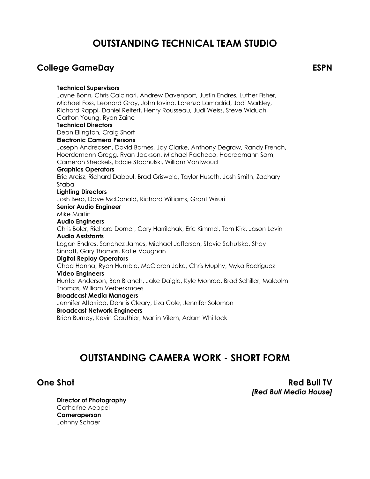# **OUTSTANDING TECHNICAL TEAM STUDIO**

### **College GameDay ESPN**

#### **Technical Supervisors**

Jayne Bonn, Chris Calcinari, Andrew Davenport, Justin Endres, Luther Fisher, Michael Foss, Leonard Gray, John Iovino, Lorenzo Lamadrid, Jodi Markley, Richard Rappi, Daniel Reifert, Henry Rousseau, Judi Weiss, Steve Widuch, Carlton Young, Ryan Zainc **Technical Directors** Dean Ellington, Craig Short

#### **Electronic Camera Persons**

Joseph Andreasen, David Barnes, Jay Clarke, Anthony Degraw, Randy French, Hoerdemann Gregg, Ryan Jackson, Michael Pacheco, Hoerdemann Sam, Cameron Sheckels, Eddie Stachulski, William Vantwoud

#### **Graphics Operators**

Eric Arcisz, Richard Daboul, Brad Griswold, Taylor Huseth, Josh Smith, Zachary Staba

#### **Lighting Directors**

Josh Bero, Dave McDonald, Richard Williams, Grant Wisuri

**Senior Audio Engineer**

Mike Martin

#### **Audio Engineers**

Chris Boler, Richard Dorner, Cory Harrilchak, Eric Kimmel, Tom Kirk, Jason Levin

### **Audio Assistants**

Logan Endres, Sanchez James, Michael Jefferson, Stevie Sahutske, Shay Sinnott, Gary Thomas, Katie Vaughan

#### **Digital Replay Operators**

Chad Hanna, Ryan Humble, McClaren Jake, Chris Muphy, Myka Rodriguez

#### **Video Engineers**

Hunter Anderson, Ben Branch, Jake Daigle, Kyle Monroe, Brad Schiller, Malcolm Thomas, William Verberkmoes

### **Broadcast Media Managers**

Jennifer Altarriba, Dennis Cleary, Liza Cole, Jennifer Solomon

### **Broadcast Network Engineers**

Brian Burney, Kevin Gauthier, Martin Vilem, Adam Whitlock

## **OUTSTANDING CAMERA WORK - SHORT FORM**

**One Shot Red Bull TV** *[Red Bull Media House]*

**Director of Photography** Catherine Aeppel **Cameraperson** Johnny Schaer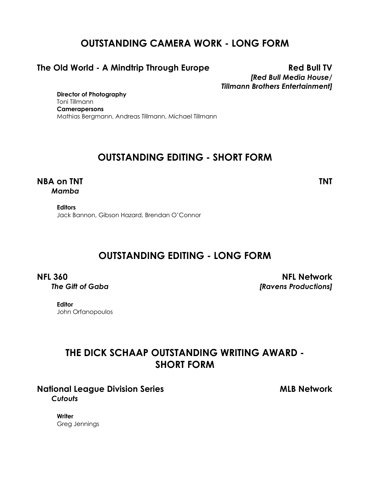# **OUTSTANDING CAMERA WORK - LONG FORM**

### **The Old World - A Mindtrip Through Europe Red Bull TV**

*[Red Bull Media House/ Tillmann Brothers Entertainment]*

**Director of Photography** Toni Tillmann **Camerapersons** Mathias Bergmann, Andreas Tillmann, Michael Tillmann

# **OUTSTANDING EDITING - SHORT FORM**

**NBA on TNT TNT** *Mamba*

**Editors** Jack Bannon, Gibson Hazard, Brendan O'Connor

## **OUTSTANDING EDITING - LONG FORM**

**NFL 360 NFL Network** *The Gift of Gaba [Ravens Productions]*

**Editor** John Orfanopoulos

# **THE DICK SCHAAP OUTSTANDING WRITING AWARD - SHORT FORM**

**National League Division Series MLB Network** *Cutouts*

**Writer** Greg Jennings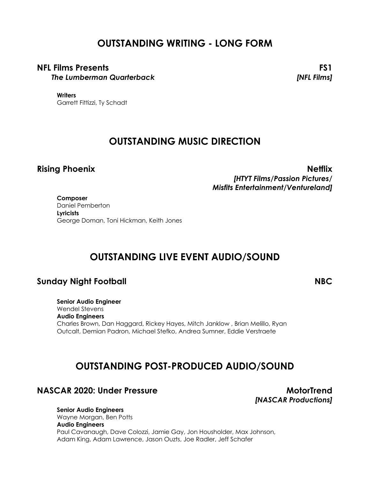# **OUTSTANDING WRITING - LONG FORM**

### **NFL Films Presents FS1**

*The Lumberman Quarterback [NFL Films]*

#### **Writers**

Garrett Fittizzi, Ty Schadt

### **OUTSTANDING MUSIC DIRECTION**

**Rising Phoenix Netflix** *[HTYT Films/Passion Pictures/ Misfits Entertainment/Ventureland]*

**Composer** Daniel Pemberton **Lyricists** George Doman, Toni Hickman, Keith Jones

## **OUTSTANDING LIVE EVENT AUDIO/SOUND**

### **Sunday Night Football NBC**

**Senior Audio Engineer** Wendel Stevens **Audio Engineers** Charles Brown, Dan Haggard, Rickey Hayes, Mitch Janklow , Brian Melillo, Ryan Outcalt, Demian Padron, Michael Stefko, Andrea Sumner, Eddie Verstraete

## **OUTSTANDING POST-PRODUCED AUDIO/SOUND**

### **NASCAR 2020: Under Pressure MOTOR 1999 MotorTrend**

*[NASCAR Productions]*

**Senior Audio Engineers** Wayne Morgan, Ben Potts **Audio Engineers** Paul Cavanaugh, Dave Colozzi, Jamie Gay, Jon Housholder, Max Johnson, Adam King, Adam Lawrence, Jason Ouzts, Joe Radler, Jeff Schafer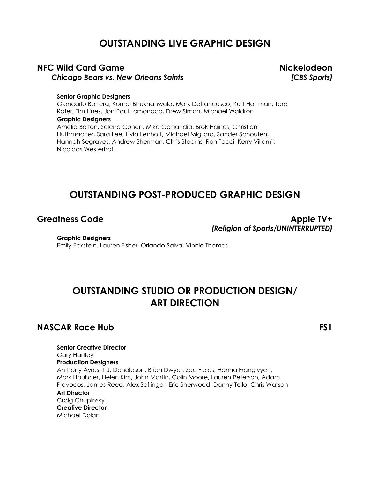# **OUTSTANDING LIVE GRAPHIC DESIGN**

### **NFC Wild Card Game Nickelodeon**

*Chicago Bears vs. New Orleans Saints [CBS Sports]*

#### **Senior Graphic Designers**

Giancarlo Barrera, Komal Bhukhanwala, Mark Defrancesco, Kurt Hartman, Tara Kafer, Tim Lines, Jon Paul Lomonaco, Drew Simon, Michael Waldron

#### **Graphic Designers**

Amelia Bolton, Selena Cohen, Mike Goitiandia, Brok Haines, Christian Huthmacher, Sara Lee, Livia Lenhoff, Michael Migliaro, Sander Schouten, Hannah Segraves, Andrew Sherman, Chris Stearns, Ron Tocci, Kerry Villamil, Nicolaas Westerhof

## **OUTSTANDING POST-PRODUCED GRAPHIC DESIGN**

**Greatness Code Apple TV+** *[Religion of Sports/UNINTERRUPTED]*

**Graphic Designers** Emily Eckstein, Lauren Fisher, Orlando Salva, Vinnie Thomas

# **OUTSTANDING STUDIO OR PRODUCTION DESIGN/ ART DIRECTION**

### **NASCAR Race Hub FS1**

### **Senior Creative Director** Gary Hartley **Production Designers** Anthony Ayres, T.J. Donaldson, Brian Dwyer, Zac Fields, Hanna Frangiyyeh, Mark Haubner, Helen Kim, John Martin, Colin Moore, Lauren Peterson, Adam Plavocos, James Reed, Alex Seflinger, Eric Sherwood, Danny Tello, Chris Watson **Art Director**

### Craig Chupinsky

**Creative Director** Michael Dolan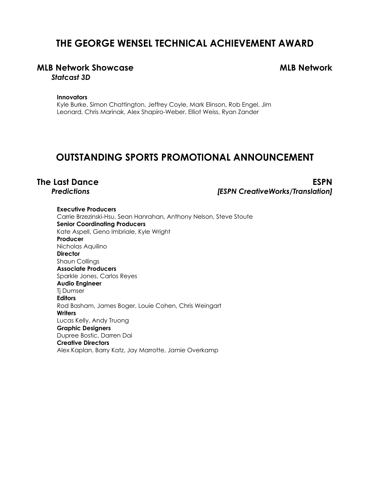# **THE GEORGE WENSEL TECHNICAL ACHIEVEMENT AWARD**

### **MLB Network Showcase MLB Network** *Statcast 3D*

#### **Innovators**

Kyle Burke, Simon Chattington, Jeffrey Coyle, Mark Elinson, Rob Engel, Jim Leonard, Chris Marinak, Alex Shapiro-Weber, Elliot Weiss, Ryan Zander

## **OUTSTANDING SPORTS PROMOTIONAL ANNOUNCEMENT**

**The Last Dance ESPN** *Predictions [ESPN CreativeWorks/Translation]*

**Executive Producers** Carrie Brzezinski-Hsu, Sean Hanrahan, Anthony Nelson, Steve Stoute **Senior Coordinating Producers** Kate Aspell, Geno Imbriale, Kyle Wright **Producer** Nicholas Aquilino **Director** Shaun Collings **Associate Producers** Sparkle Jones, Carlos Reyes **Audio Engineer Ti Dumser Editors** Rod Basham, James Boger, Louie Cohen, Chris Weingart **Writers** Lucas Kelly, Andy Truong **Graphic Designers** Dupree Bostic, Darren Dai **Creative Directors** Alex Kaplan, Barry Katz, Jay Marrotte, Jamie Overkamp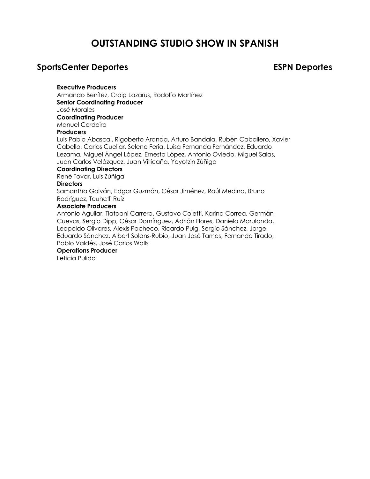# **OUTSTANDING STUDIO SHOW IN SPANISH**

### **SportsCenter Deportes ESPN Deportes**

### **Executive Producers**

Armando Benítez, Craig Lazarus, Rodolfo Martínez **Senior Coordinating Producer**

José Morales

**Coordinating Producer**

Manuel Cerdeira

### **Producers**

Luis Pablo Abascal, Rigoberto Aranda, Arturo Bandala, Rubén Caballero, Xavier Cabello, Carlos Cuellar, Selene Feria, Luisa Fernanda Fernández, Eduardo Lezama, Miguel Ángel López, Ernesto López, Antonio Oviedo, Miguel Salas, Juan Carlos Velázquez, Juan Villicaña, Yoyotzin Zúñiga

### **Coordinating Directors**

René Tovar, Luis Zúñiga

### **Directors**

Samantha Galván, Edgar Guzmán, César Jiménez, Raúl Medina, Bruno Rodríguez, Teuhctli Ruíz

### **Associate Producers**

Antonio Aguilar, Tlatoani Carrera, Gustavo Coletti, Karina Correa, Germán Cuevas, Sergio Dipp, César Domínguez, Adrián Flores, Daniela Marulanda, Leopoldo Olivares, Alexis Pacheco, Ricardo Puig, Sergio Sánchez, Jorge Eduardo Sánchez, Albert Solans-Rubio, Juan José Tames, Fernando Tirado, Pablo Valdés, José Carlos Walls

### **Operations Producer**

Leticia Pulido